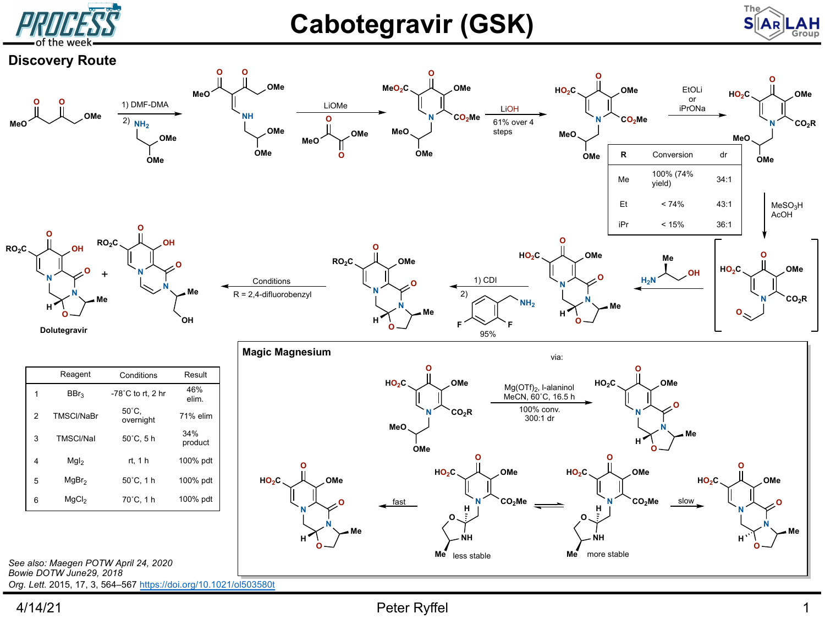

## **Cabotegravir (GSK)**







Org. Lett. 2015, 17, 3, 564-567 https://doi.org/10.1021/ol503580t 4/14/21

## Peter Ryffel